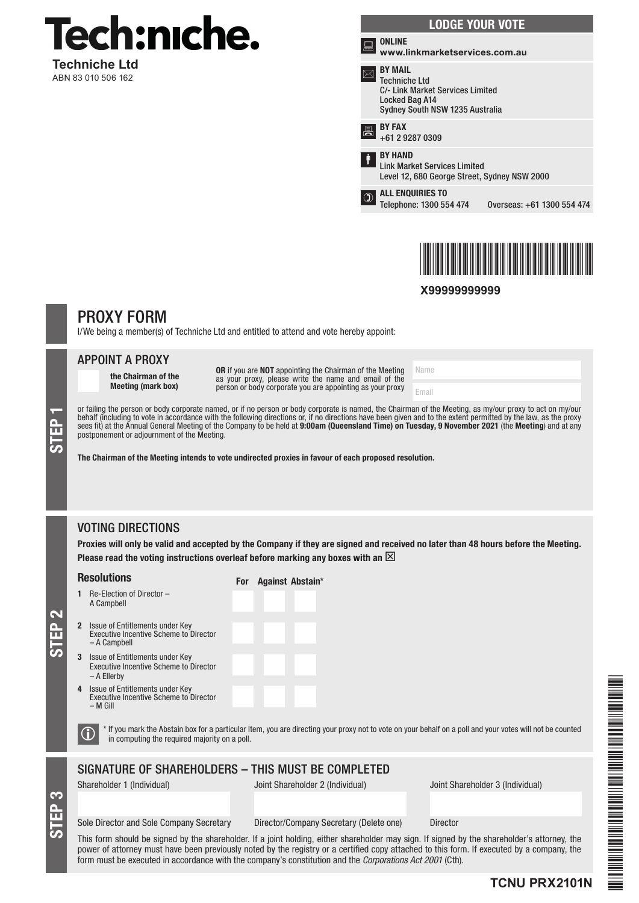

**Techniche Ltd** ABN 83 010 506 162

| <b>LODGE YOUR VOTE</b> |                                                                                                                                 |                            |
|------------------------|---------------------------------------------------------------------------------------------------------------------------------|----------------------------|
| in an                  | <b>ONLINE</b><br>www.linkmarketservices.com.au                                                                                  |                            |
|                        | <b>BY MAIL</b><br><b>Techniche Ltd</b><br>C/- Link Market Services Limited<br>Locked Bag A14<br>Sydney South NSW 1235 Australia |                            |
|                        | <b>BY FAX</b><br>+61 2 9287 0309                                                                                                |                            |
| İ                      | <b>BY HAND</b><br><b>Link Market Services Limited</b><br>Level 12, 680 George Street, Sydney NSW 2000                           |                            |
|                        | <b>ALL ENQUIRIES TO</b><br>Telephone: 1300 554 474                                                                              | Overseas: +61 1300 554 474 |
|                        |                                                                                                                                 |                            |



**X99999999999**

# PROXY FORM

I/We being a member(s) of Techniche Ltd and entitled to attend and vote hereby appoint:

### APPOINT A PROXY

the Chairman of the Meeting (mark box)

OR if you are NOT appointing the Chairman of the Meeting as your proxy, please write the name and email of the person or body corporate you are appointing as your proxy

Email

Name

or failing the person or body corporate named, or if no person or body corporate is named, the Chairman of the Meeting, as my/our proxy to act on my/our behalf (including to vote in accordance with the following directions or, if no directions have been given and to the extent permitted by the law, as the proxy sees fit) at the Annual General Meeting of the Company to be held at **9:00am (Queensland Time) on Tuesday, 9 November 2021** (the **Meeting**) and at any<br>postponement or adjournment of the Meeting.

The Chairman of the Meeting intends to vote undirected proxies in favour of each proposed resolution.

For Against Abstain\*

# VOTING DIRECTIONS

Proxies will only be valid and accepted by the Company if they are signed and received no later than 48 hours before the Meeting. Please read the voting instructions overleaf before marking any boxes with an  $\boxtimes$ 

### Resolutions

STEP 1

- 1 Re-Election of Director A Campbell
- Issue of Entitlements under Key Executive Incentive Scheme to Director – A Campbell
- 3 Issue of Entitlements under Key Executive Incentive Scheme to Director – A Ellerby
- 4 Issue of Entitlements under Key Executive Incentive Scheme to Director – M Gill

 $\bigcirc$  \* If you mark the Abstain box for a particular Item, you are directing your proxy not to vote on your behalf on a poll and your votes will not be counted in computing the required majority on a poll.

# SIGNATURE OF SHAREHOLDERS – THIS MUST BE COMPLETED

STEP 3

STEP 2

Shareholder 1 (Individual) Joint Shareholder 2 (Individual) Joint Shareholder 3 (Individual)

Sole Director and Sole Company Secretary Director/Company Secretary (Delete one) Director

This form should be signed by the shareholder. If a joint holding, either shareholder may sign. If signed by the shareholder's attorney, the power of attorney must have been previously noted by the registry or a certified copy attached to this form. If executed by a company, the form must be executed in accordance with the company's constitution and the *Corporations Act 2001* (Cth).

# THE REPORT OF THE REAL PROPERTY AND THE PARTIES. TCNU PRZEZ PRZEZ PRZEZ PRZEZ PRZEZ PRZEZ PRZEZ PRZEZ PRZEZ PRZEZ PRZEZ PRZEZ PRZEZ PRZEZ PRZEZ PRZEZ PRZEZ PRZ

# **TCNU PRX2101N**